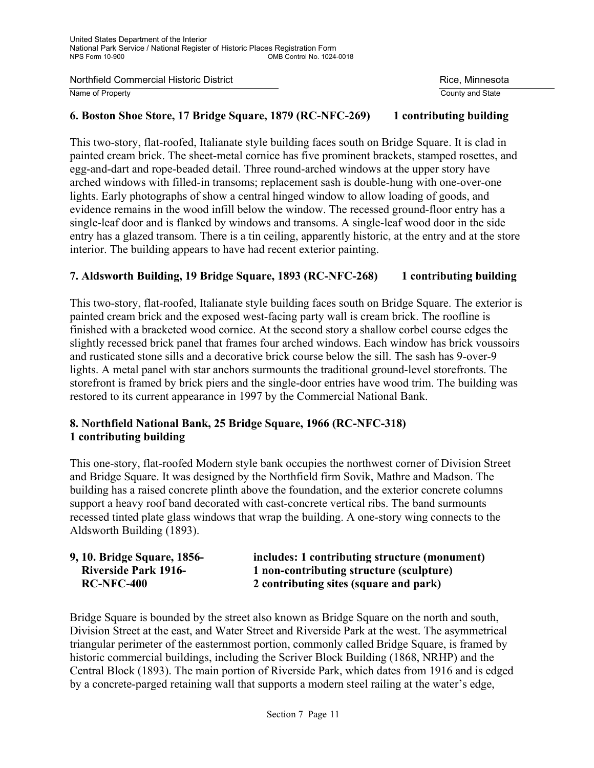Northfield Commercial Historic District **Rice, Minnesota** Rice, Minnesota

Name of Property **County and State** 

#### **6. Boston Shoe Store, 17 Bridge Square, 1879 (RC-NFC-269) 1 contributing building**

This two-story, flat-roofed, Italianate style building faces south on Bridge Square. It is clad in painted cream brick. The sheet-metal cornice has five prominent brackets, stamped rosettes, and egg-and-dart and rope-beaded detail. Three round-arched windows at the upper story have arched windows with filled-in transoms; replacement sash is double-hung with one-over-one lights. Early photographs of show a central hinged window to allow loading of goods, and evidence remains in the wood infill below the window. The recessed ground-floor entry has a single-leaf door and is flanked by windows and transoms. A single-leaf wood door in the side entry has a glazed transom. There is a tin ceiling, apparently historic, at the entry and at the store interior. The building appears to have had recent exterior painting.

## **7. Aldsworth Building, 19 Bridge Square, 1893 (RC-NFC-268) 1 contributing building**

This two-story, flat-roofed, Italianate style building faces south on Bridge Square. The exterior is painted cream brick and the exposed west-facing party wall is cream brick. The roofline is finished with a bracketed wood cornice. At the second story a shallow corbel course edges the slightly recessed brick panel that frames four arched windows. Each window has brick voussoirs and rusticated stone sills and a decorative brick course below the sill. The sash has 9-over-9 lights. A metal panel with star anchors surmounts the traditional ground-level storefronts. The storefront is framed by brick piers and the single-door entries have wood trim. The building was restored to its current appearance in 1997 by the Commercial National Bank.

# **8. Northfield National Bank, 25 Bridge Square, 1966 (RC-NFC-318) 1 contributing building**

This one-story, flat-roofed Modern style bank occupies the northwest corner of Division Street and Bridge Square. It was designed by the Northfield firm Sovik, Mathre and Madson. The building has a raised concrete plinth above the foundation, and the exterior concrete columns support a heavy roof band decorated with cast-concrete vertical ribs. The band surmounts recessed tinted plate glass windows that wrap the building. A one-story wing connects to the Aldsworth Building (1893).

| 9, 10. Bridge Square, 1856- | includes: 1 contributing structure (monument) |
|-----------------------------|-----------------------------------------------|
| <b>Riverside Park 1916-</b> | 1 non-contributing structure (sculpture)      |
| <b>RC-NFC-400</b>           | 2 contributing sites (square and park)        |

Bridge Square is bounded by the street also known as Bridge Square on the north and south, Division Street at the east, and Water Street and Riverside Park at the west. The asymmetrical triangular perimeter of the easternmost portion, commonly called Bridge Square, is framed by historic commercial buildings, including the Scriver Block Building (1868, NRHP) and the Central Block (1893). The main portion of Riverside Park, which dates from 1916 and is edged by a concrete-parged retaining wall that supports a modern steel railing at the water's edge,